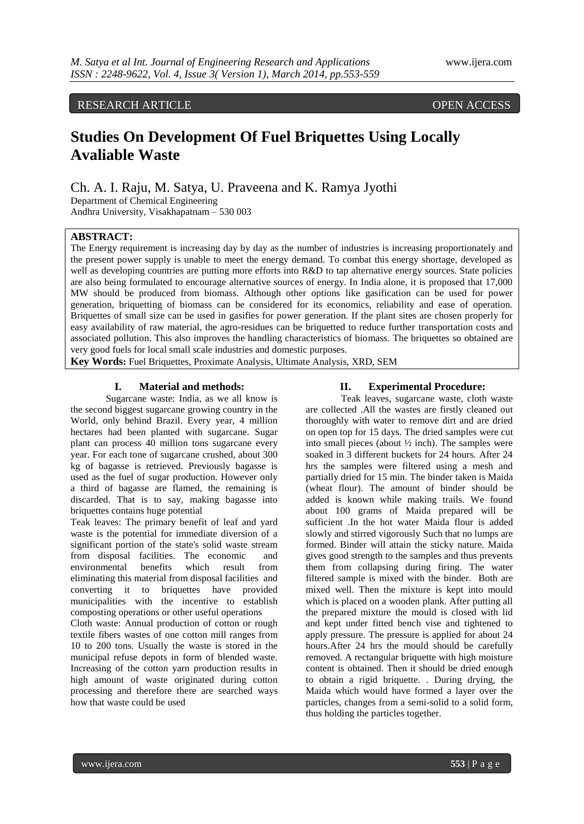RESEARCH ARTICLE OPEN ACCESS

# **Studies On Development Of Fuel Briquettes Using Locally Avaliable Waste**

Ch. A. I. Raju, M. Satya, U. Praveena and K. Ramya Jyothi

Department of Chemical Engineering Andhra University, Visakhapatnam – 530 003

## **ABSTRACT:**

The Energy requirement is increasing day by day as the number of industries is increasing proportionately and the present power supply is unable to meet the energy demand. To combat this energy shortage, developed as well as developing countries are putting more efforts into R&D to tap alternative energy sources. State policies are also being formulated to encourage alternative sources of energy. In India alone, it is proposed that 17,000 MW should be produced from biomass. Although other options like gasification can be used for power generation, briquetting of biomass can be considered for its economics, reliability and ease of operation. Briquettes of small size can be used in gasifies for power generation. If the plant sites are chosen properly for easy availability of raw material, the agro-residues can be briquetted to reduce further transportation costs and associated pollution. This also improves the handling characteristics of biomass. The briquettes so obtained are very good fuels for local small scale industries and domestic purposes.

**Key Words:** Fuel Briquettes, Proximate Analysis, Ultimate Analysis, XRD, SEM

#### **I. Material and methods:**

Sugarcane waste: India, as we all know is the second biggest sugarcane growing country in the World, only behind Brazil. Every year, 4 million hectares had been planted with sugarcane. Sugar plant can process 40 million tons sugarcane every year. For each tone of sugarcane crushed, about 300 kg of bagasse is retrieved. Previously bagasse is used as the fuel of sugar production. However only a third of bagasse are flamed, the remaining is discarded. That is to say, making bagasse into briquettes contains huge potential

Teak leaves: The primary benefit of leaf and yard waste is the potential for immediate diversion of a significant portion of the state's solid waste stream from disposal facilities. The economic and environmental benefits which result from eliminating this material from disposal facilities and converting it to briquettes have provided municipalities with the incentive to establish composting operations or other useful operations

Cloth waste: Annual production of cotton or rough textile fibers wastes of one cotton mill ranges from 10 to 200 tons. Usually the waste is stored in the municipal refuse depots in form of blended waste. Increasing of the cotton yarn production results in high amount of waste originated during cotton processing and therefore there are searched ways how that waste could be used

#### **II. Experimental Procedure:**

Teak leaves, sugarcane waste, cloth waste are collected .All the wastes are firstly cleaned out thoroughly with water to remove dirt and are dried on open top for 15 days. The dried samples were cut into small pieces (about ½ inch). The samples were soaked in 3 different buckets for 24 hours. After 24 hrs the samples were filtered using a mesh and partially dried for 15 min. The binder taken is Maida (wheat flour). The amount of binder should be added is known while making trails. We found about 100 grams of Maida prepared will be sufficient .In the hot water Maida flour is added slowly and stirred vigorously Such that no lumps are formed. Binder will attain the sticky nature. Maida gives good strength to the samples and thus prevents them from collapsing during firing. The water filtered sample is mixed with the binder. Both are mixed well. Then the mixture is kept into mould which is placed on a wooden plank. After putting all the prepared mixture the mould is closed with lid and kept under fitted bench vise and tightened to apply pressure. The pressure is applied for about 24 hours.After 24 hrs the mould should be carefully removed. A rectangular briquette with high moisture content is obtained. Then it should be dried enough to obtain a rigid briquette. . During drying, the Maida which would have formed a layer over the particles, changes from a semi-solid to a solid form, thus holding the particles together.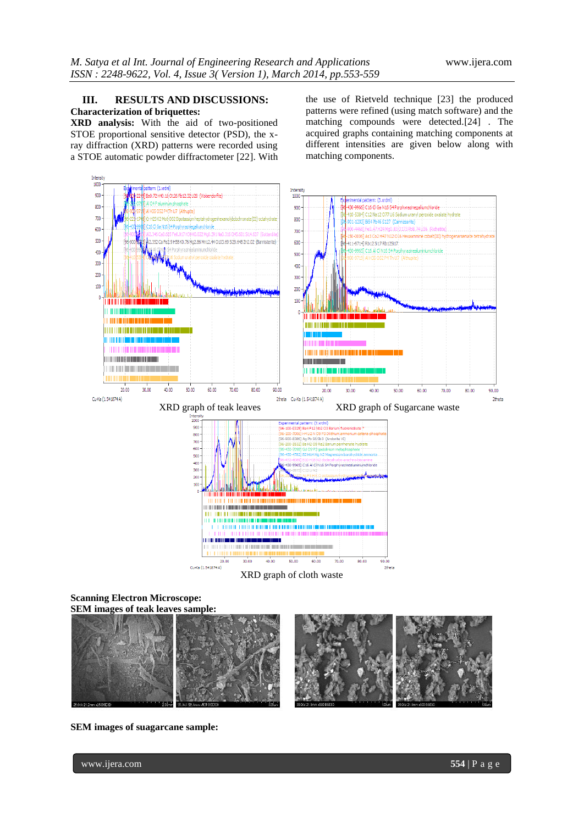# **III. RESULTS AND DISCUSSIONS: Characterization of briquettes:**

**XRD analysis:** With the aid of two-positioned STOE proportional sensitive detector (PSD), the xray diffraction (XRD) patterns were recorded using a STOE automatic powder diffractometer [22]. With the use of Rietveld technique [23] the produced patterns were refined (using match software) and the matching compounds were detected.[24] . The acquired graphs containing matching components at different intensities are given below along with matching components.



**Scanning Electron Microscope: SEM images of teak leaves sample:**



**SEM images of suagarcane sample:**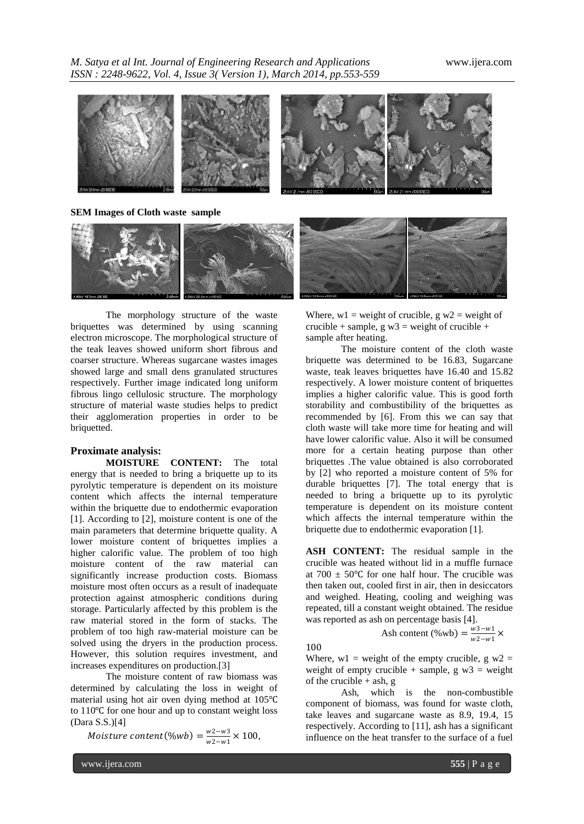*M. Satya et al Int. Journal of Engineering Research and Applications* www.ijera.com *ISSN : 2248-9622, Vol. 4, Issue 3( Version 1), March 2014, pp.553-559*



**SEM Images of Cloth waste sample**



The morphology structure of the waste briquettes was determined by using scanning electron microscope. The morphological structure of the teak leaves showed uniform short fibrous and coarser structure. Whereas sugarcane wastes images showed large and small dens granulated structures respectively. Further image indicated long uniform fibrous lingo cellulosic structure. The morphology structure of material waste studies helps to predict their agglomeration properties in order to be briquetted.

# **Proximate analysis:**

**MOISTURE CONTENT:** The total energy that is needed to bring a briquette up to its pyrolytic temperature is dependent on its moisture content which affects the internal temperature within the briquette due to endothermic evaporation [1]. According to [2], moisture content is one of the main parameters that determine briquette quality. A lower moisture content of briquettes implies a higher calorific value. The problem of too high moisture content of the raw material can significantly increase production costs. Biomass moisture most often occurs as a result of inadequate protection against atmospheric conditions during storage. Particularly affected by this problem is the raw material stored in the form of stacks. The problem of too high raw-material moisture can be solved using the dryers in the production process. However, this solution requires investment, and increases expenditures on production.[3]

The moisture content of raw biomass was determined by calculating the loss in weight of material using hot air oven dying method at 105℃ to 110℃ for one hour and up to constant weight loss (Dara S.S.)[4]

Moisture content(%wb) =  $\frac{w^2-w^3}{w^2-w^3}$  $\frac{W2-W3}{W2-W1} \times 100,$  Where,  $w1$  = weight of crucible, g  $w2$  = weight of crucible + sample, g  $w3$  = weight of crucible + sample after heating.

The moisture content of the cloth waste briquette was determined to be 16.83, Sugarcane waste, teak leaves briquettes have 16.40 and 15.82 respectively. A lower moisture content of briquettes implies a higher calorific value. This is good forth storability and combustibility of the briquettes as recommended by [6]. From this we can say that cloth waste will take more time for heating and will have lower calorific value. Also it will be consumed more for a certain heating purpose than other briquettes .The value obtained is also corroborated by [2] who reported a moisture content of 5% for durable briquettes [7]. The total energy that is needed to bring a briquette up to its pyrolytic temperature is dependent on its moisture content which affects the internal temperature within the briquette due to endothermic evaporation [1].

**ASH CONTENT:** The residual sample in the crucible was heated without lid in a muffle furnace at  $700 \pm 50^{\circ}$ C for one half hour. The crucible was then taken out, cooled first in air, then in desiccators and weighed. Heating, cooling and weighing was repeated, till a constant weight obtained. The residue was reported as ash on percentage basis [4].

Ash content (%wb) =  $\frac{w^3 - w^1}{w^2 - w^1}$  $\frac{W3-W1}{W2-W1}$  ×

100

Where,  $w1$  = weight of the empty crucible, g  $w2$  = weight of empty crucible + sample, g  $w3$  = weight of the crucible  $+$  ash, g

Ash, which is the non-combustible component of biomass, was found for waste cloth, take leaves and sugarcane waste as 8.9, 19.4, 15 respectively. According to [11], ash has a significant influence on the heat transfer to the surface of a fuel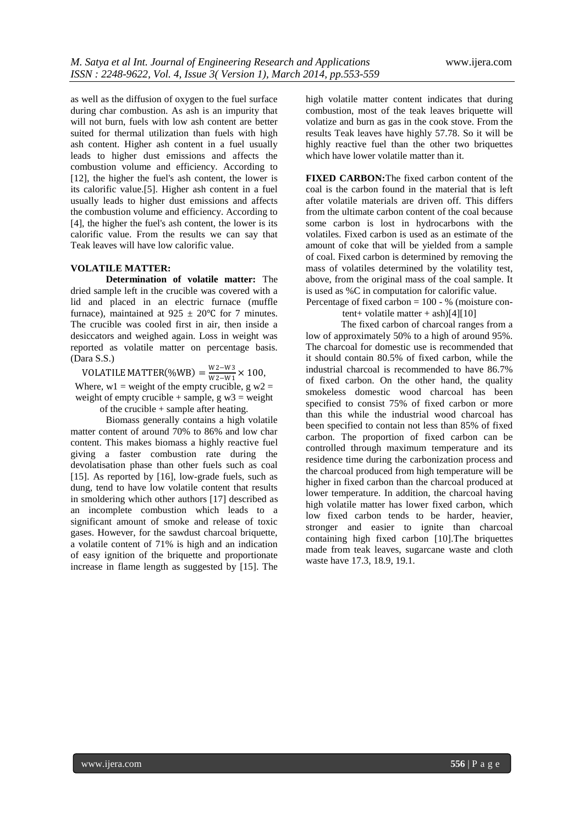as well as the diffusion of oxygen to the fuel surface during char combustion. As ash is an impurity that will not burn, fuels with low ash content are better suited for thermal utilization than fuels with high ash content. Higher ash content in a fuel usually leads to higher dust emissions and affects the combustion volume and efficiency. According to [12], the higher the fuel's ash content, the lower is its calorific value.[5]. Higher ash content in a fuel usually leads to higher dust emissions and affects the combustion volume and efficiency. According to [4], the higher the fuel's ash content, the lower is its calorific value. From the results we can say that Teak leaves will have low calorific value.

#### **VOLATILE MATTER:**

**Determination of volatile matter:** The dried sample left in the crucible was covered with a lid and placed in an electric furnace (muffle furnace), maintained at  $925 \pm 20^{\circ}$ C for 7 minutes. The crucible was cooled first in air, then inside a desiccators and weighed again. Loss in weight was reported as volatile matter on percentage basis. (Dara S.S.)

VOLATILE MATTER(%WB) =  $\frac{W2-W3}{W2-W1}$  $\frac{W_2-W_3}{W_2-W_1}$  × 100, Where,  $w1 = weight of the empty crucible, g w2 =$ weight of empty crucible + sample,  $g w3 = weight$ 

of the crucible + sample after heating.

Biomass generally contains a high volatile matter content of around 70% to 86% and low char content. This makes biomass a highly reactive fuel giving a faster combustion rate during the devolatisation phase than other fuels such as coal [15]. As reported by [16], low-grade fuels, such as dung, tend to have low volatile content that results in smoldering which other authors [17] described as an incomplete combustion which leads to a significant amount of smoke and release of toxic gases. However, for the sawdust charcoal briquette, a volatile content of 71% is high and an indication of easy ignition of the briquette and proportionate increase in flame length as suggested by [15]. The

high volatile matter content indicates that during combustion, most of the teak leaves briquette will volatize and burn as gas in the cook stove. From the results Teak leaves have highly 57.78. So it will be highly reactive fuel than the other two briquettes which have lower volatile matter than it.

**FIXED CARBON:**The fixed carbon content of the coal is the carbon found in the material that is left after volatile materials are driven off. This differs from the ultimate carbon content of the coal because some carbon is lost in hydrocarbons with the volatiles. Fixed carbon is used as an estimate of the amount of coke that will be yielded from a sample of coal. Fixed carbon is determined by removing the mass of volatiles determined by the volatility test, above, from the original mass of the coal sample. It is used as %C in computation for calorific value. Percentage of fixed carbon  $= 100 - %$  (moisture con-

tent+ volatile matter + ash $[4][10]$ 

The fixed carbon of charcoal ranges from a low of approximately 50% to a high of around 95%. The charcoal for domestic use is recommended that it should contain 80.5% of fixed carbon, while the industrial charcoal is recommended to have 86.7% of fixed carbon. On the other hand, the quality smokeless domestic wood charcoal has been specified to consist 75% of fixed carbon or more than this while the industrial wood charcoal has been specified to contain not less than 85% of fixed carbon. The proportion of fixed carbon can be controlled through maximum temperature and its residence time during the carbonization process and the charcoal produced from high temperature will be higher in fixed carbon than the charcoal produced at lower temperature. In addition, the charcoal having high volatile matter has lower fixed carbon, which low fixed carbon tends to be harder, heavier, stronger and easier to ignite than charcoal containing high fixed carbon [10].The briquettes made from teak leaves, sugarcane waste and cloth waste have 17.3, 18.9, 19.1.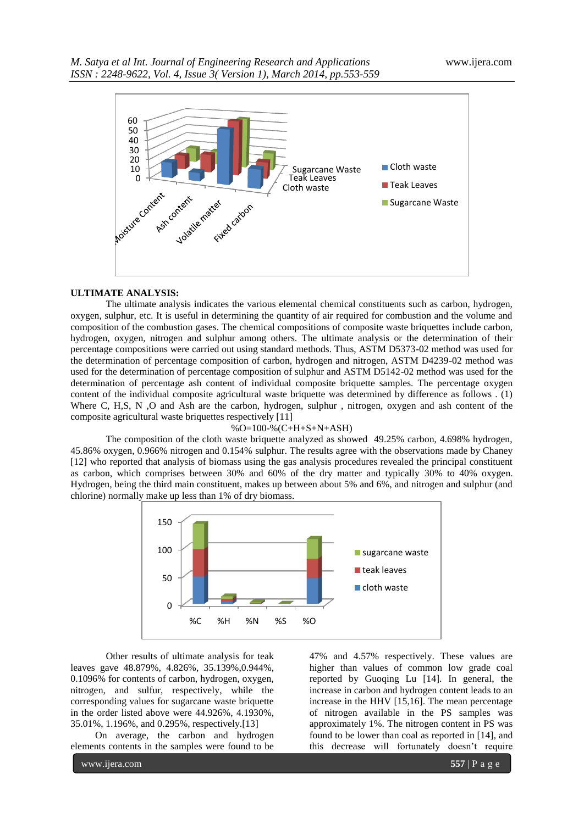

### **ULTIMATE ANALYSIS:**

The ultimate analysis indicates the various elemental chemical constituents such as carbon, hydrogen, oxygen, sulphur, etc. It is useful in determining the quantity of air required for combustion and the volume and composition of the combustion gases. The chemical compositions of composite waste briquettes include carbon, hydrogen, oxygen, nitrogen and sulphur among others. The ultimate analysis or the determination of their percentage compositions were carried out using standard methods. Thus, ASTM D5373-02 method was used for the determination of percentage composition of carbon, hydrogen and nitrogen, ASTM D4239-02 method was used for the determination of percentage composition of sulphur and ASTM D5142-02 method was used for the determination of percentage ash content of individual composite briquette samples. The percentage oxygen content of the individual composite agricultural waste briquette was determined by difference as follows . (1) Where C, H,S, N,O and Ash are the carbon, hydrogen, sulphur, nitrogen, oxygen and ash content of the composite agricultural waste briquettes respectively [11]

#### %O=100-%(C+H+S+N+ASH)

The composition of the cloth waste briquette analyzed as showed 49.25% carbon, 4.698% hydrogen, 45.86% oxygen, 0.966% nitrogen and 0.154% sulphur. The results agree with the observations made by Chaney [12] who reported that analysis of biomass using the gas analysis procedures revealed the principal constituent as carbon, which comprises between 30% and 60% of the dry matter and typically 30% to 40% oxygen. Hydrogen, being the third main constituent, makes up between about 5% and 6%, and nitrogen and sulphur (and chlorine) normally make up less than 1% of dry biomass.



Other results of ultimate analysis for teak leaves gave 48.879%, 4.826%, 35.139%,0.944%, 0.1096% for contents of carbon, hydrogen, oxygen, nitrogen, and sulfur, respectively, while the corresponding values for sugarcane waste briquette in the order listed above were 44.926%, 4.1930%, 35.01%, 1.196%, and 0.295%, respectively.[13]

 On average, the carbon and hydrogen elements contents in the samples were found to be

47% and 4.57% respectively. These values are higher than values of common low grade coal reported by Guoqing Lu [14]. In general, the increase in carbon and hydrogen content leads to an increase in the HHV [15,16]. The mean percentage of nitrogen available in the PS samples was approximately 1%. The nitrogen content in PS was found to be lower than coal as reported in [14], and this decrease will fortunately doesn"t require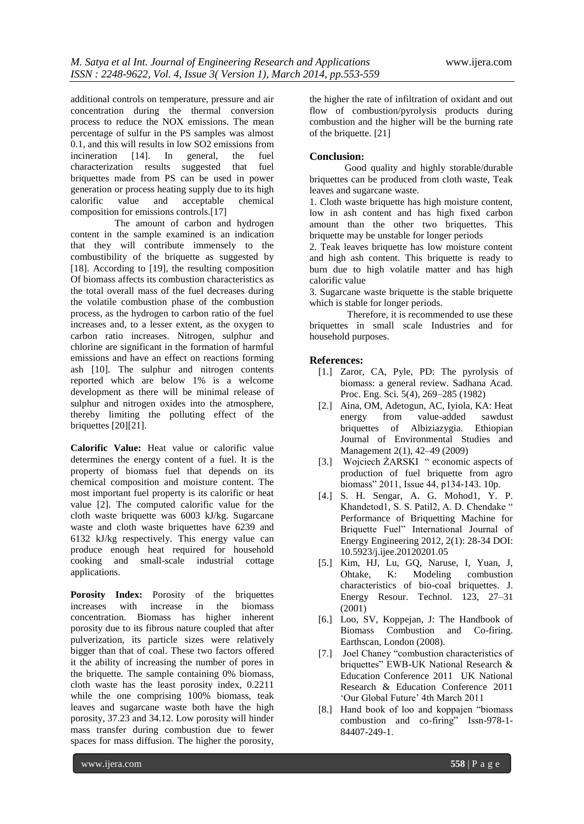additional controls on temperature, pressure and air concentration during the thermal conversion process to reduce the NOX emissions. The mean percentage of sulfur in the PS samples was almost 0.1, and this will results in low SO2 emissions from<br>incineration [14]. In general, the fuel incineration [14]. In general, the fuel characterization results suggested that fuel briquettes made from PS can be used in power generation or process heating supply due to its high calorific value and acceptable chemical composition for emissions controls.[17]

 The amount of carbon and hydrogen content in the sample examined is an indication that they will contribute immensely to the combustibility of the briquette as suggested by [18]. According to [19], the resulting composition Of biomass affects its combustion characteristics as the total overall mass of the fuel decreases during the volatile combustion phase of the combustion process, as the hydrogen to carbon ratio of the fuel increases and, to a lesser extent, as the oxygen to carbon ratio increases. Nitrogen, sulphur and chlorine are significant in the formation of harmful emissions and have an effect on reactions forming ash [10]. The sulphur and nitrogen contents reported which are below 1% is a welcome development as there will be minimal release of sulphur and nitrogen oxides into the atmosphere, thereby limiting the polluting effect of the briquettes [20][21].

**Calorific Value:** Heat value or calorific value determines the energy content of a fuel. It is the property of biomass fuel that depends on its chemical composition and moisture content. The most important fuel property is its calorific or heat value [2]. The computed calorific value for the cloth waste briquette was 6003 kJ/kg. Sugarcane waste and cloth waste briquettes have 6239 and 6132 kJ/kg respectively. This energy value can produce enough heat required for household cooking and small-scale industrial cottage applications.

**Porosity Index:** Porosity of the briquettes increases with increase in the biomass concentration. Biomass has higher inherent porosity due to its fibrous nature coupled that after pulverization, its particle sizes were relatively bigger than that of coal. These two factors offered it the ability of increasing the number of pores in the briquette. The sample containing 0% biomass, cloth waste has the least porosity index, 0.2211 while the one comprising 100% biomass, teak leaves and sugarcane waste both have the high porosity, 37.23 and 34.12. Low porosity will hinder mass transfer during combustion due to fewer spaces for mass diffusion. The higher the porosity,

the higher the rate of infiltration of oxidant and out flow of combustion/pyrolysis products during combustion and the higher will be the burning rate of the briquette. [21]

# **Conclusion:**

Good quality and highly storable/durable briquettes can be produced from cloth waste, Teak leaves and sugarcane waste.

1. Cloth waste briquette has high moisture content, low in ash content and has high fixed carbon amount than the other two briquettes. This briquette may be unstable for longer periods

2. Teak leaves briquette has low moisture content and high ash content. This briquette is ready to burn due to high volatile matter and has high calorific value

3. Sugarcane waste briquette is the stable briquette which is stable for longer periods.

Therefore, it is recommended to use these briquettes in small scale Industries and for household purposes.

## **References:**

- [1.] Zaror, CA, Pyle, PD: The pyrolysis of biomass: a general review. Sadhana Acad. Proc. Eng. Sci. 5(4), 269–285 (1982)
- [2.] Aina, OM, Adetogun, AC, Iyiola, KA: Heat energy from value-added sawdust briquettes of Albiziazygia. Ethiopian Journal of Environmental Studies and Management 2(1), 42–49 (2009)
- [3.] Wojciech ŻARSKI " economic aspects of production of fuel briquette from agro biomass" 2011, Issue 44, p134-143. 10p.
- [4.] S. H. Sengar, A. G. Mohod1, Y. P. Khandetod1, S. S. Patil2, A. D. Chendake " Performance of Briquetting Machine for Briquette Fuel" International Journal of Energy Engineering 2012, 2(1): 28-34 DOI: 10.5923/j.ijee.20120201.05
- [5.] Kim, HJ, Lu, GQ, Naruse, I, Yuan, J, Ohtake, K: Modeling combustion characteristics of bio-coal briquettes. J. Energy Resour. Technol. 123, 27–31 (2001)
- [6.] Loo, SV, Koppejan, J: The Handbook of Biomass Combustion and Co-firing. Earthscan, London (2008).
- [7.] Joel Chaney "combustion characteristics of briquettes" EWB-UK National Research & Education Conference 2011 UK National Research & Education Conference 2011 "Our Global Future" 4th March 2011
- [8.] Hand book of loo and koppajen "biomass combustion and co-firing" Issn-978-1- 84407-249-1.